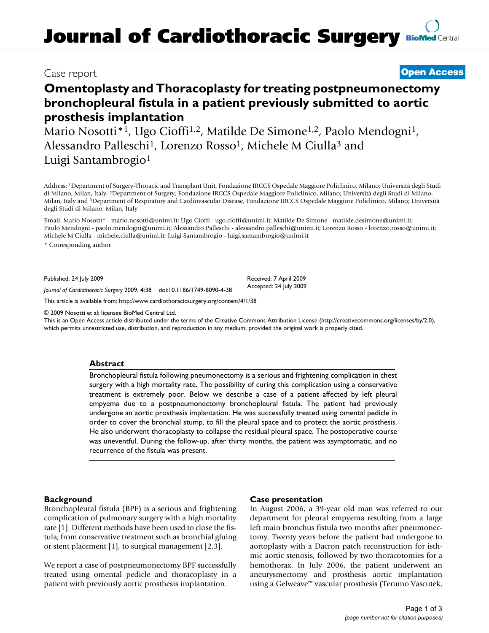# Case report **[Open Access](http://www.biomedcentral.com/info/about/charter/)**

# **Omentoplasty and Thoracoplasty for treating postpneumonectomy bronchopleural fistula in a patient previously submitted to aortic prosthesis implantation**

Mario Nosotti<sup>\*1</sup>, Ugo Cioffi<sup>1,2</sup>, Matilde De Simone<sup>1,2</sup>, Paolo Mendogni<sup>1</sup>, Alessandro Palleschi<sup>1</sup>, Lorenzo Rosso<sup>1</sup>, Michele M Ciulla<sup>3</sup> and Luigi Santambrogio<sup>1</sup>

Address: 1Department of Surgery-Thoracic and Transplant Unit, Fondazione IRCCS Ospedale Maggiore Policlinico, Milano; Università degli Studi di Milano, Milan, Italy, 2Department of Surgery, Fondazione IRCCS Ospedale Maggiore Policlinico, Milano; Università degli Studi di Milano, Milan, Italy and 3Department of Respiratory and Cardiovascular Disease, Fondazione IRCCS Ospedale Maggiore Policlinico, Milano; Università degli Studi di Milano, Milan, Italy

Email: Mario Nosotti\* - mario.nosotti@unimi.it; Ugo Cioffi - ugo.cioffi@unimi.it; Matilde De Simone - matilde.desimone@unimi.it; Paolo Mendogni - paolo.mendogni@unimi.it; Alessandro Palleschi - alessandro.palleschi@unimi.it; Lorenzo Rosso - lorenzo.rosso@unimi.it; Michele M Ciulla - michele.ciulla@unimi.it; Luigi Santambrogio - luigi.santambrogio@unimi.it

\* Corresponding author

Published: 24 July 2009

Received: 7 April 2009 Accepted: 24 July 2009

[This article is available from: http://www.cardiothoracicsurgery.org/content/4/1/38](http://www.cardiothoracicsurgery.org/content/4/1/38)

*Journal of Cardiothoracic Surgery* 2009, **4**:38 doi:10.1186/1749-8090-4-38

© 2009 Nosotti et al; licensee BioMed Central Ltd.

This is an Open Access article distributed under the terms of the Creative Commons Attribution License [\(http://creativecommons.org/licenses/by/2.0\)](http://creativecommons.org/licenses/by/2.0), which permits unrestricted use, distribution, and reproduction in any medium, provided the original work is properly cited.

## **Abstract**

Bronchopleural fistula following pneumonectomy is a serious and frightening complication in chest surgery with a high mortality rate. The possibility of curing this complication using a conservative treatment is extremely poor. Below we describe a case of a patient affected by left pleural empyema due to a postpneumonectomy bronchopleural fistula. The patient had previously undergone an aortic prosthesis implantation. He was successfully treated using omental pedicle in order to cover the bronchial stump, to fill the pleural space and to protect the aortic prosthesis. He also underwent thoracoplasty to collapse the residual pleural space. The postoperative course was uneventful. During the follow-up, after thirty months, the patient was asymptomatic, and no recurrence of the fistula was present.

# **Background**

Bronchopleural fistula (BPF) is a serious and frightening complication of pulmonary surgery with a high mortality rate [1]. Different methods have been used to close the fistula; from conservative treatment such as bronchial gluing or stent placement [1], to surgical management [2,3].

We report a case of postpneumonectomy BPF successfully treated using omental pedicle and thoracoplasty in a patient with previously aortic prosthesis implantation.

## **Case presentation**

In August 2006, a 39-year old man was referred to our department for pleural empyema resulting from a large left main bronchus fistula two months after pneumonectomy. Twenty years before the patient had undergone to aortoplasty with a Dacron patch reconstruction for isthmic aortic stenosis, followed by two thoracotomies for a hemothorax. In July 2006, the patient underwent an aneurysmectomy and prosthesis aortic implantation using a Gelweave™ vascular prosthesis (Terumo Vascutek,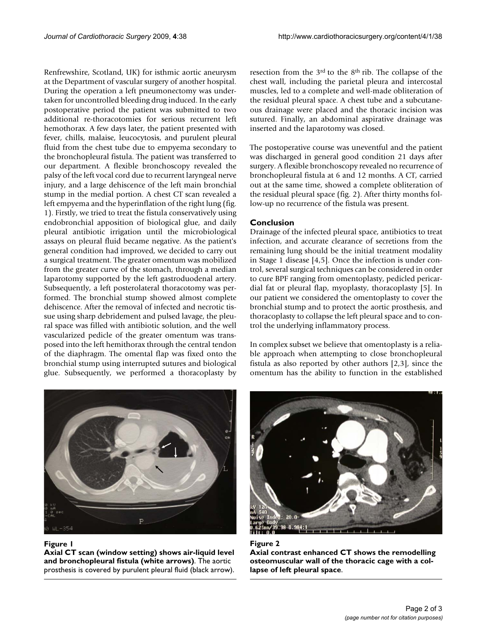Renfrewshire, Scotland, UK) for isthmic aortic aneurysm at the Department of vascular surgery of another hospital. During the operation a left pneumonectomy was undertaken for uncontrolled bleeding drug induced. In the early postoperative period the patient was submitted to two additional re-thoracotomies for serious recurrent left hemothorax. A few days later, the patient presented with fever, chills, malaise, leucocytosis, and purulent pleural fluid from the chest tube due to empyema secondary to the bronchopleural fistula. The patient was transferred to our department. A flexible bronchoscopy revealed the palsy of the left vocal cord due to recurrent laryngeal nerve injury, and a large dehiscence of the left main bronchial stump in the medial portion. A chest CT scan revealed a left empyema and the hyperinflation of the right lung (fig. 1). Firstly, we tried to treat the fistula conservatively using endobronchial apposition of biological glue, and daily pleural antibiotic irrigation until the microbiological assays on pleural fluid became negative. As the patient's general condition had improved, we decided to carry out a surgical treatment. The greater omentum was mobilized from the greater curve of the stomach, through a median laparotomy supported by the left gastroduodenal artery. Subsequently, a left posterolateral thoracotomy was performed. The bronchial stump showed almost complete dehiscence. After the removal of infected and necrotic tissue using sharp debridement and pulsed lavage, the pleural space was filled with antibiotic solution, and the well vascularized pedicle of the greater omentum was transposed into the left hemithorax through the central tendon of the diaphragm. The omental flap was fixed onto the bronchial stump using interrupted sutures and biological glue. Subsequently, we performed a thoracoplasty by resection from the 3rd to the 8th rib. The collapse of the chest wall, including the parietal pleura and intercostal muscles, led to a complete and well-made obliteration of the residual pleural space. A chest tube and a subcutaneous drainage were placed and the thoracic incision was sutured. Finally, an abdominal aspirative drainage was inserted and the laparotomy was closed.

The postoperative course was uneventful and the patient was discharged in general good condition 21 days after surgery. A flexible bronchoscopy revealed no recurrence of bronchopleural fistula at 6 and 12 months. A CT, carried out at the same time, showed a complete obliteration of the residual pleural space (fig. 2). After thirty months follow-up no recurrence of the fistula was present.

# **Conclusion**

Drainage of the infected pleural space, antibiotics to treat infection, and accurate clearance of secretions from the remaining lung should be the initial treatment modality in Stage 1 disease [4,5]. Once the infection is under control, several surgical techniques can be considered in order to cure BPF ranging from omentoplasty, pedicled pericardial fat or pleural flap, myoplasty, thoracoplasty [5]. In our patient we considered the omentoplasty to cover the bronchial stump and to protect the aortic prosthesis, and thoracoplasty to collapse the left pleural space and to control the underlying inflammatory process.

In complex subset we believe that omentoplasty is a reliable approach when attempting to close bronchopleural fistula as also reported by other authors [2,3], since the omentum has the ability to function in the established



# Figure 1

**Axial CT scan (window setting) shows air-liquid level and bronchopleural fistula (white arrows)**. The aortic prosthesis is covered by purulent pleural fluid (black arrow).